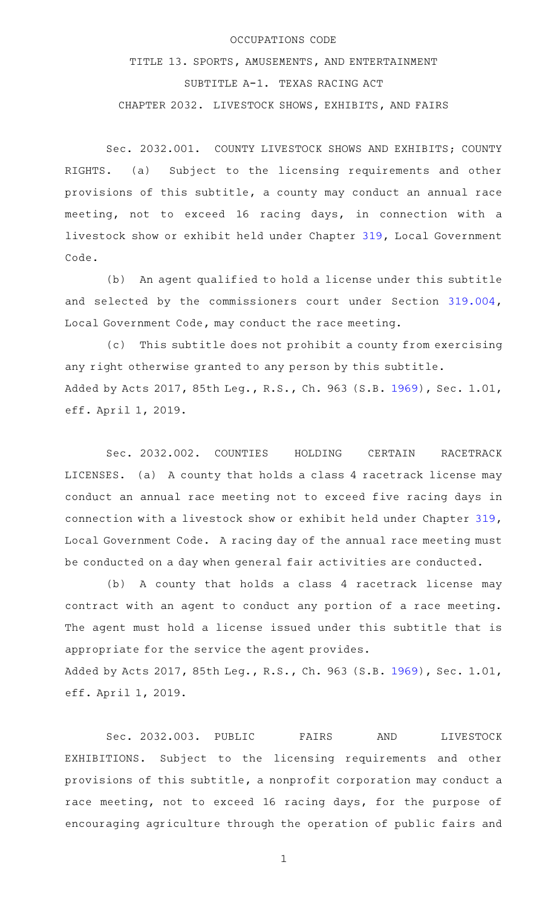## OCCUPATIONS CODE

TITLE 13. SPORTS, AMUSEMENTS, AND ENTERTAINMENT SUBTITLE A-1. TEXAS RACING ACT CHAPTER 2032. LIVESTOCK SHOWS, EXHIBITS, AND FAIRS

Sec. 2032.001. COUNTY LIVESTOCK SHOWS AND EXHIBITS; COUNTY RIGHTS. (a) Subject to the licensing requirements and other provisions of this subtitle, a county may conduct an annual race meeting, not to exceed 16 racing days, in connection with a livestock show or exhibit held under Chapter [319,](http://www.statutes.legis.state.tx.us/GetStatute.aspx?Code=LG&Value=319) Local Government Code.

(b) An agent qualified to hold a license under this subtitle and selected by the commissioners court under Section [319.004](http://www.statutes.legis.state.tx.us/GetStatute.aspx?Code=LG&Value=319.004), Local Government Code, may conduct the race meeting.

 $(c)$  This subtitle does not prohibit a county from exercising any right otherwise granted to any person by this subtitle. Added by Acts 2017, 85th Leg., R.S., Ch. 963 (S.B. [1969](http://www.legis.state.tx.us/tlodocs/85R/billtext/html/SB01969F.HTM)), Sec. 1.01, eff. April 1, 2019.

Sec. 2032.002. COUNTIES HOLDING CERTAIN RACETRACK LICENSES. (a) A county that holds a class 4 racetrack license may conduct an annual race meeting not to exceed five racing days in connection with a livestock show or exhibit held under Chapter [319](http://www.statutes.legis.state.tx.us/GetStatute.aspx?Code=LG&Value=319), Local Government Code. A racing day of the annual race meeting must be conducted on a day when general fair activities are conducted.

(b) A county that holds a class 4 racetrack license may contract with an agent to conduct any portion of a race meeting. The agent must hold a license issued under this subtitle that is appropriate for the service the agent provides. Added by Acts 2017, 85th Leg., R.S., Ch. 963 (S.B. [1969](http://www.legis.state.tx.us/tlodocs/85R/billtext/html/SB01969F.HTM)), Sec. 1.01, eff. April 1, 2019.

Sec. 2032.003. PUBLIC FAIRS AND LIVESTOCK EXHIBITIONS. Subject to the licensing requirements and other provisions of this subtitle, a nonprofit corporation may conduct a race meeting, not to exceed 16 racing days, for the purpose of encouraging agriculture through the operation of public fairs and

1